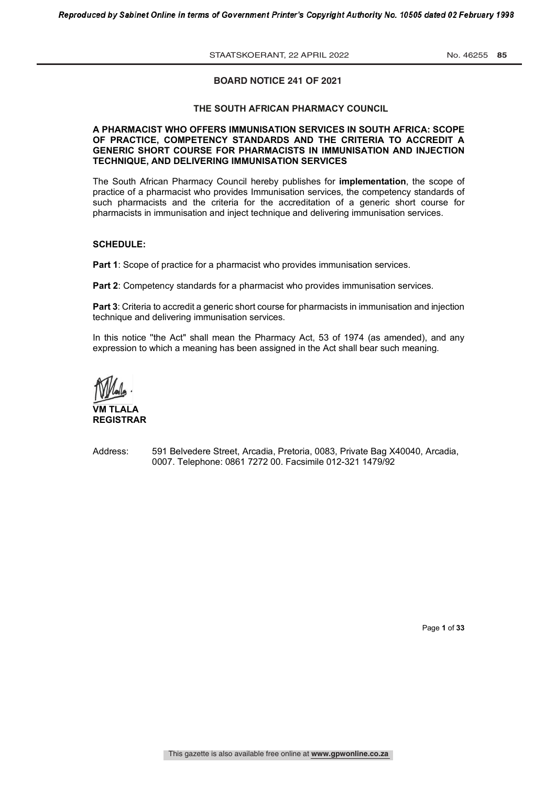**STAATSKOERANT, 22 APRIL 2022** No. 46255 85

### **BOARD NOTICE 241 OF 2021**

### **THE SOUTH AFRICAN PHARMACY COUNCIL**

### **A PHARMACIST WHO OFFERS IMMUNISATION SERVICES IN SOUTH AFRICA: SCOPE OF PRACTICE, COMPETENCY STANDARDS AND THE CRITERIA TO ACCREDIT A GENERIC SHORT COURSE FOR PHARMACISTS IN IMMUNISATION AND INJECTION TECHNIQUE, AND DELIVERING IMMUNISATION SERVICES**

The South African Pharmacy Council hereby publishes for **implementation**, the scope of practice of a pharmacist who provides Immunisation services, the competency standards of such pharmacists and the criteria for the accreditation of a generic short course for pharmacists in immunisation and inject technique and delivering immunisation services.

### **SCHEDULE:**

**Part 1**: Scope of practice for a pharmacist who provides immunisation services.

**Part 2**: Competency standards for a pharmacist who provides immunisation services.

**Part 3**: Criteria to accredit a generic short course for pharmacists in immunisation and injection technique and delivering immunisation services.

In this notice ''the Act" shall mean the Pharmacy Act, 53 of 1974 (as amended), and any expression to which a meaning has been assigned in the Act shall bear such meaning.

**VM TLALA REGISTRAR**

Address: 591 Belvedere Street, Arcadia, Pretoria, 0083, Private Bag X40040, Arcadia, 0007. Telephone: 0861 7272 00. Facsimile 012-321 1479/92

Page **1** of **33**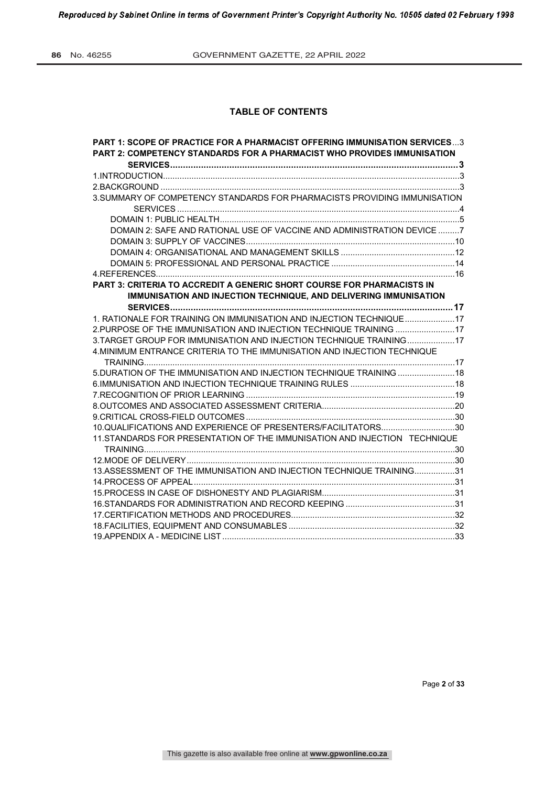Reproduced by Sabinet Online in terms of Government Printer's Copyright Authority No. 10505 dated 02 February 1998

# **TABLE OF CONTENTS**

| <b>PART 1: SCOPE OF PRACTICE FOR A PHARMACIST OFFERING IMMUNISATION SERVICES3</b> |  |
|-----------------------------------------------------------------------------------|--|
| <b>PART 2: COMPETENCY STANDARDS FOR A PHARMACIST WHO PROVIDES IMMUNISATION</b>    |  |
|                                                                                   |  |
|                                                                                   |  |
|                                                                                   |  |
| 3. SUMMARY OF COMPETENCY STANDARDS FOR PHARMACISTS PROVIDING IMMUNISATION         |  |
|                                                                                   |  |
|                                                                                   |  |
| DOMAIN 2: SAFE AND RATIONAL USE OF VACCINE AND ADMINISTRATION DEVICE 7            |  |
|                                                                                   |  |
|                                                                                   |  |
|                                                                                   |  |
|                                                                                   |  |
| <b>PART 3: CRITERIA TO ACCREDIT A GENERIC SHORT COURSE FOR PHARMACISTS IN</b>     |  |
| IMMUNISATION AND INJECTION TECHNIQUE, AND DELIVERING IMMUNISATION                 |  |
|                                                                                   |  |
| 1. RATIONALE FOR TRAINING ON IMMUNISATION AND INJECTION TECHNIQUE17               |  |
| 2.PURPOSE OF THE IMMUNISATION AND INJECTION TECHNIQUE TRAINING 17                 |  |
| 3. TARGET GROUP FOR IMMUNISATION AND INJECTION TECHNIQUE TRAINING17               |  |
| 4. MINIMUM ENTRANCE CRITERIA TO THE IMMUNISATION AND INJECTION TECHNIQUE          |  |
|                                                                                   |  |
| 5. DURATION OF THE IMMUNISATION AND INJECTION TECHNIQUE TRAINING  18              |  |
|                                                                                   |  |
|                                                                                   |  |
|                                                                                   |  |
|                                                                                   |  |
| 10.QUALIFICATIONS AND EXPERIENCE OF PRESENTERS/FACILITATORS30                     |  |
| 11. STANDARDS FOR PRESENTATION OF THE IMMUNISATION AND INJECTION TECHNIQUE        |  |
|                                                                                   |  |
|                                                                                   |  |
| 13.ASSESSMENT OF THE IMMUNISATION AND INJECTION TECHNIQUE TRAINING31              |  |
|                                                                                   |  |
|                                                                                   |  |
|                                                                                   |  |
|                                                                                   |  |
|                                                                                   |  |
|                                                                                   |  |

Page **2** of **33**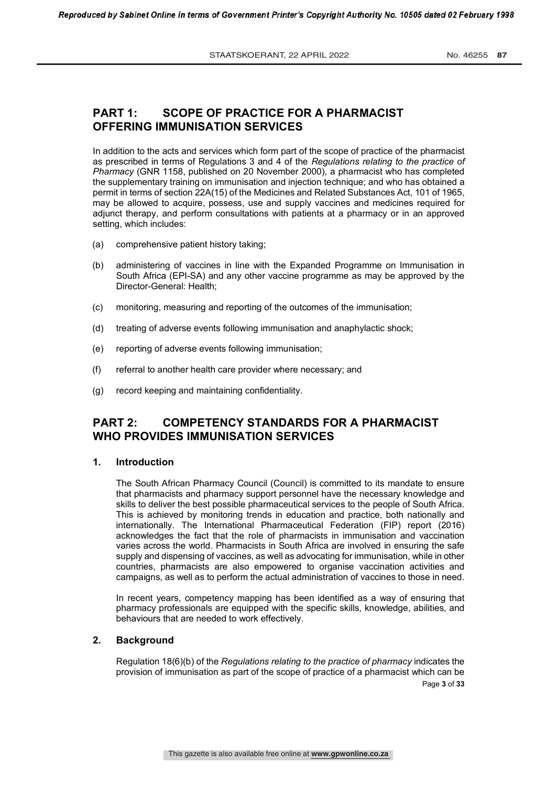# **PART 1: SCOPE OF PRACTICE FOR A PHARMACIST OFFERING IMMUNISATION SERVICES**

In addition to the acts and services which form part of the scope of practice of the pharmacist as prescribed in terms of Regulations 3 and 4 of the *Regulations relating to the practice of Pharmacy* (GNR 1158, published on 20 November 2000), a pharmacist who has completed the supplementary training on immunisation and injection technique; and who has obtained a permit in terms of section 22A(15) of the Medicines and Related Substances Act, 101 of 1965, may be allowed to acquire, possess, use and supply vaccines and medicines required for adjunct therapy, and perform consultations with patients at a pharmacy or in an approved setting, which includes:

- (a) comprehensive patient history taking;
- (b) administering of vaccines in line with the Expanded Programme on Immunisation in South Africa (EPI-SA) and any other vaccine programme as may be approved by the Director-General: Health;
- (c) monitoring, measuring and reporting of the outcomes of the immunisation;
- (d) treating of adverse events following immunisation and anaphylactic shock;
- (e) reporting of adverse events following immunisation;
- (f) referral to another health care provider where necessary; and
- (g) record keeping and maintaining confidentiality.

# **PART 2: COMPETENCY STANDARDS FOR A PHARMACIST WHO PROVIDES IMMUNISATION SERVICES**

### **1. Introduction**

The South African Pharmacy Council (Council) is committed to its mandate to ensure that pharmacists and pharmacy support personnel have the necessary knowledge and skills to deliver the best possible pharmaceutical services to the people of South Africa. This is achieved by monitoring trends in education and practice, both nationally and internationally. The International Pharmaceutical Federation (FIP) report (2016) acknowledges the fact that the role of pharmacists in immunisation and vaccination varies across the world. Pharmacists in South Africa are involved in ensuring the safe supply and dispensing of vaccines, as well as advocating for immunisation, while in other countries, pharmacists are also empowered to organise vaccination activities and campaigns, as well as to perform the actual administration of vaccines to those in need.

In recent years, competency mapping has been identified as a way of ensuring that pharmacy professionals are equipped with the specific skills, knowledge, abilities, and behaviours that are needed to work effectively.

### **2. Background**

Regulation 18(6)(b) of the *Regulations relating to the practice of pharmacy* indicates the provision of immunisation as part of the scope of practice of a pharmacist which can be

Page **3** of **33**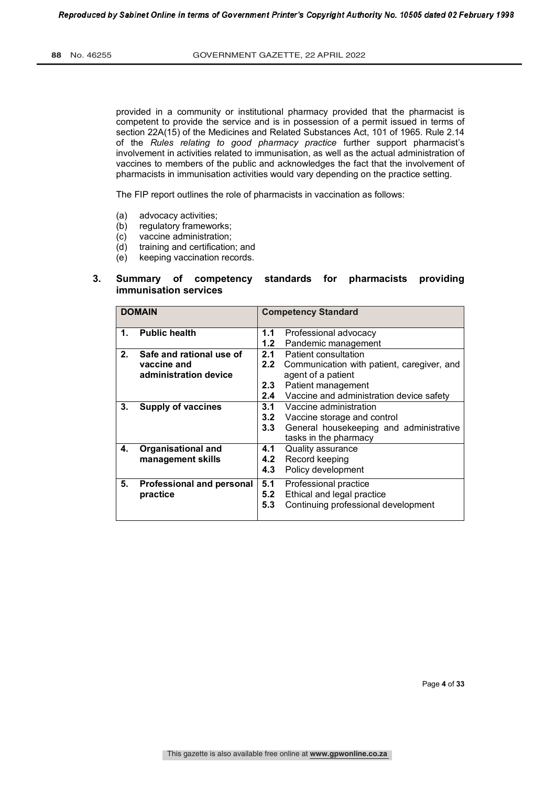provided in a community or institutional pharmacy provided that the pharmacist is competent to provide the service and is in possession of a permit issued in terms of section 22A(15) of the Medicines and Related Substances Act, 101 of 1965. Rule 2.14 of the *Rules relating to good pharmacy practice* further support pharmacist's involvement in activities related to immunisation, as well as the actual administration of vaccines to members of the public and acknowledges the fact that the involvement of pharmacists in immunisation activities would vary depending on the practice setting.

The FIP report outlines the role of pharmacists in vaccination as follows:

- (a) advocacy activities;
- (b) regulatory frameworks;
- (c) vaccine administration;
- (d) training and certification; and
- (e) keeping vaccination records.

### **3. Summary of competency standards for pharmacists providing immunisation services**

|                | <b>DOMAIN</b>                    |                  | <b>Competency Standard</b>                 |
|----------------|----------------------------------|------------------|--------------------------------------------|
| 1.             | <b>Public health</b>             | 1.1              | Professional advocacy                      |
|                |                                  | 1.2              | Pandemic management                        |
| 2 <sub>1</sub> | Safe and rational use of         | 2.1              | Patient consultation                       |
|                | vaccine and                      | 2.2              | Communication with patient, caregiver, and |
|                | administration device            |                  | agent of a patient                         |
|                |                                  | $2.3\phantom{0}$ | Patient management                         |
|                |                                  | 2.4              | Vaccine and administration device safety   |
| 3.             | <b>Supply of vaccines</b>        | 3.1              | Vaccine administration                     |
|                |                                  | 3.2              | Vaccine storage and control                |
|                |                                  | 3.3              | General housekeeping and administrative    |
|                |                                  |                  | tasks in the pharmacy                      |
| 4.             | <b>Organisational and</b>        | 4.1              | Quality assurance                          |
|                | management skills                | 4.2              | Record keeping                             |
|                |                                  | 4.3              | Policy development                         |
| 5.             | <b>Professional and personal</b> | 5.1              | Professional practice                      |
|                | practice                         | 5.2              | Ethical and legal practice                 |
|                |                                  | 5.3              | Continuing professional development        |
|                |                                  |                  |                                            |

Page **4** of **33**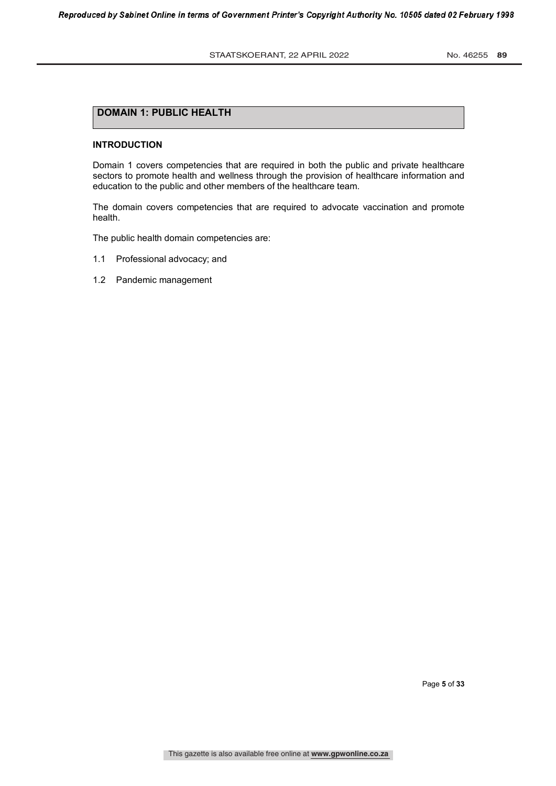# **DOMAIN 1: PUBLIC HEALTH**

#### **INTRODUCTION**

Domain 1 covers competencies that are required in both the public and private healthcare sectors to promote health and wellness through the provision of healthcare information and education to the public and other members of the healthcare team.

The domain covers competencies that are required to advocate vaccination and promote health.

The public health domain competencies are:

- 1.1 Professional advocacy; and
- 1.2 Pandemic management

Page **5** of **33**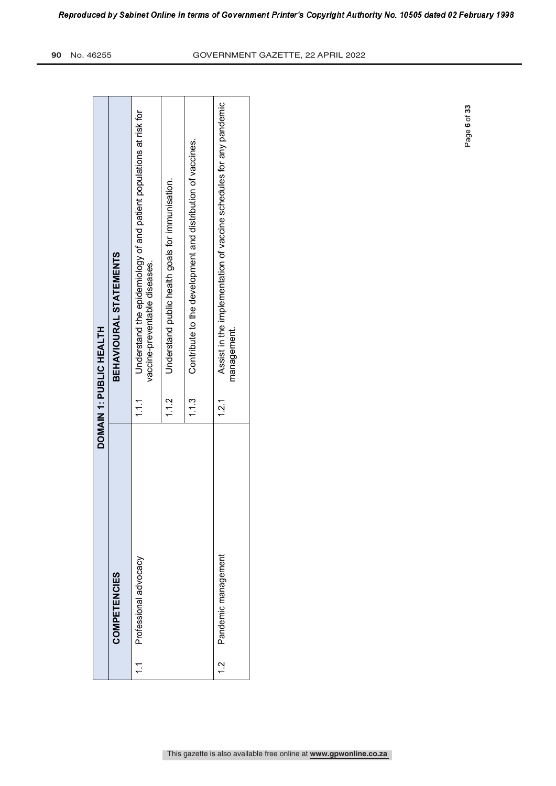|   |                       |       | DOMAIN 1: PUBLIC HEALTH                                                                             |
|---|-----------------------|-------|-----------------------------------------------------------------------------------------------------|
|   | COMPETENCIES          |       | BEHAVIOURAL STATEMENTS                                                                              |
|   | Professional advocacy | : ب   | Understand the epidemiology of and patient populations at risk for<br>vaccine-preventable diseases. |
|   |                       | 1.12  | Understand public health goals for immunisation.                                                    |
|   |                       | 1.3   | Contribute to the development and distribution of vaccines.                                         |
| Ņ | Pandemic management   | 1.2.1 | Assist in the implementation of vaccine schedules for any pandemic<br>management.                   |

Page **6** of **33**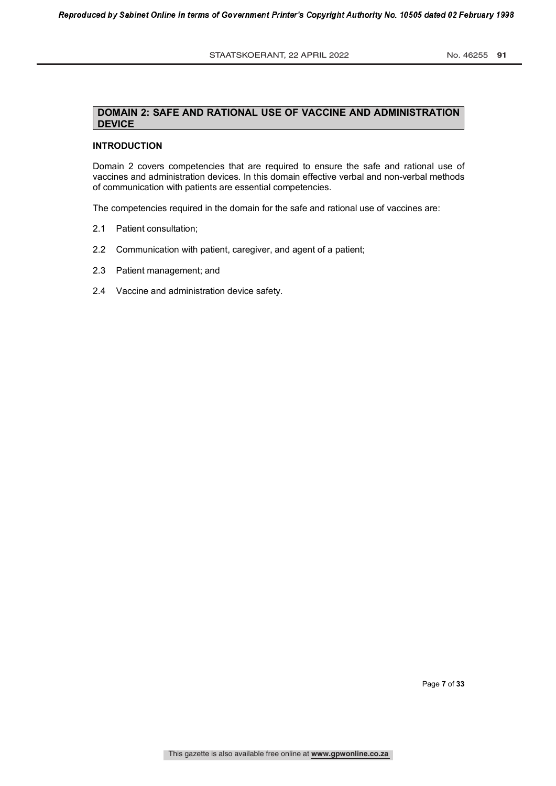## **DOMAIN 2: SAFE AND RATIONAL USE OF VACCINE AND ADMINISTRATION DEVICE**

# **INTRODUCTION**

Domain 2 covers competencies that are required to ensure the safe and rational use of vaccines and administration devices. In this domain effective verbal and non-verbal methods of communication with patients are essential competencies.

The competencies required in the domain for the safe and rational use of vaccines are:

- 2.1 Patient consultation;
- 2.2 Communication with patient, caregiver, and agent of a patient;
- 2.3 Patient management; and
- 2.4 Vaccine and administration device safety.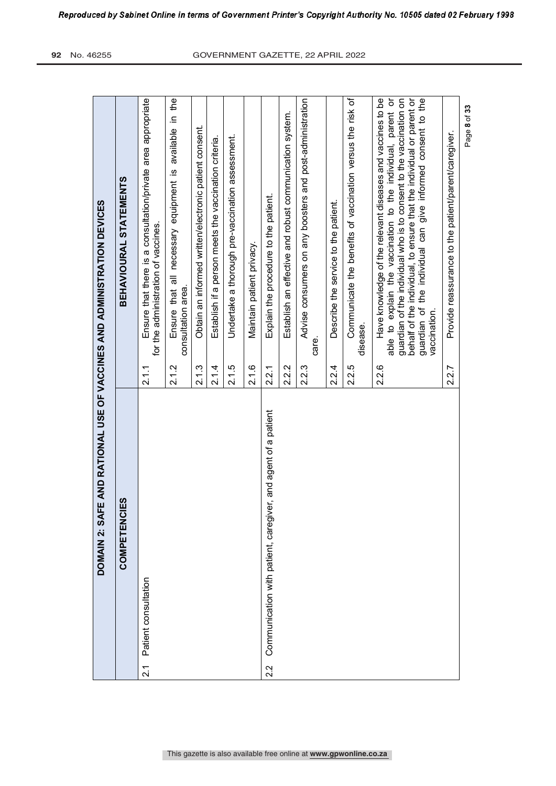|                  | DOMAIN 2: SA                                                       |       | FE AND RATIONAL USE OF VACCINES AND ADMINISTRATION DEVICES.                                                                                                                                                                                                                                                                                             |
|------------------|--------------------------------------------------------------------|-------|---------------------------------------------------------------------------------------------------------------------------------------------------------------------------------------------------------------------------------------------------------------------------------------------------------------------------------------------------------|
|                  | <b>COMPETENCIES</b>                                                |       | BEHAVIOURAL STATEMENTS                                                                                                                                                                                                                                                                                                                                  |
| $\overline{2}$ . | Patient consultation                                               | 2.1.1 | Ensure that there is a consultation/private area appropriate<br>for the administration of vaccines.                                                                                                                                                                                                                                                     |
|                  |                                                                    | 2.1.2 | available in the<br>Ensure that all necessary equipment is<br>consultation area.                                                                                                                                                                                                                                                                        |
|                  |                                                                    | 2.1.3 | Obtain an informed written/electronic patient consent.                                                                                                                                                                                                                                                                                                  |
|                  |                                                                    | 2.1.4 | Establish if a person meets the vaccination criteria.                                                                                                                                                                                                                                                                                                   |
|                  |                                                                    | 2.1.5 | Undertake a thorough pre-vaccination assessment.                                                                                                                                                                                                                                                                                                        |
|                  |                                                                    | 2.1.6 | Maintain patient privacy.                                                                                                                                                                                                                                                                                                                               |
| 2.2              | iver, and agent of a patient<br>Communication with patient, caregi | 2.2.1 | Explain the procedure to the patient.                                                                                                                                                                                                                                                                                                                   |
|                  |                                                                    | 2.2.2 | Establish an effective and robust communication system.                                                                                                                                                                                                                                                                                                 |
|                  |                                                                    | 2.2.3 | Advise consumers on any boosters and post-administration<br>care.                                                                                                                                                                                                                                                                                       |
|                  |                                                                    | 2.2.4 | Describe the service to the patient.                                                                                                                                                                                                                                                                                                                    |
|                  |                                                                    | 2.2.5 | Communicate the benefits of vaccination versus the risk of<br>disease.                                                                                                                                                                                                                                                                                  |
|                  |                                                                    | 2.2.6 | behalf of the individual, to ensure that the individual or parent or<br>Have knowledge of the relevant diseases and vaccines to be<br>able to explain the vaccination to the individual, parent or<br>guardian of the individual who is to consent to the vaccination on<br>guardian of the individual can give informed consent to the<br>vaccination. |
|                  |                                                                    | 2.2.7 | Provide reassurance to the patient/parent/caregiver.                                                                                                                                                                                                                                                                                                    |
|                  |                                                                    |       | Page 8 of 33                                                                                                                                                                                                                                                                                                                                            |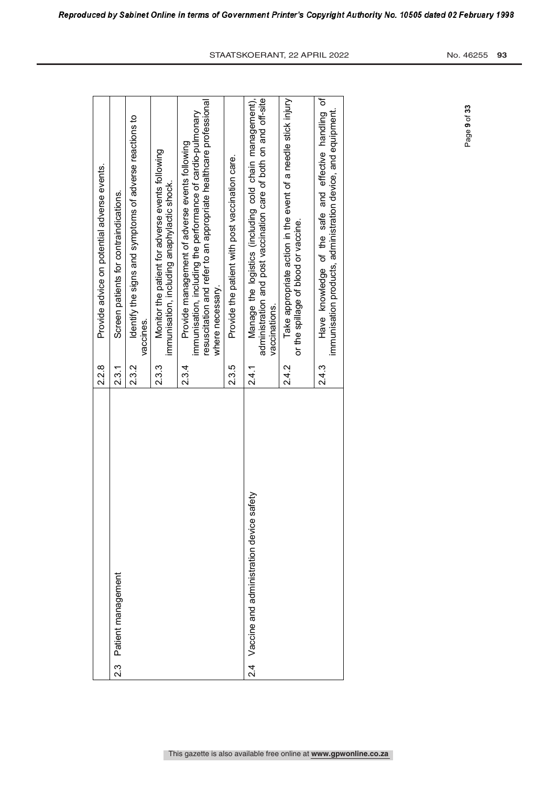|                                                        | 2.28  | Provide advice on potential adverse events.                                                                                                                                                            |
|--------------------------------------------------------|-------|--------------------------------------------------------------------------------------------------------------------------------------------------------------------------------------------------------|
| Patient management<br>ن<br>رح                          | 2.3.1 | Screen patients for contraindications.                                                                                                                                                                 |
|                                                        | 2.3.2 | Identify the signs and symptoms of adverse reactions to<br>vaccines.                                                                                                                                   |
|                                                        | 2.3.  | Monitor the patient for adverse events following<br>immunisation, including anaphylactic shock.                                                                                                        |
|                                                        | 2.3.4 | resuscitation and refer to an appropriate healthcare professional<br>immunisation, including the performance of cardio-pulmonary<br>Provide management of adverse events following<br>where necessary. |
|                                                        | 2.3.5 | Provide the patient with post vaccination care.                                                                                                                                                        |
| satety<br>Vaccine and administration device<br>य.<br>२ | 2.4.1 | administration and post vaccination care of both on and off-site<br>Manage the logistics (including cold chain management),<br>vaccinations.                                                           |
|                                                        | 2.4.2 | Take appropriate action in the event of a needle stick injury<br>or the spillage of blood or vaccine.                                                                                                  |
|                                                        | 2.4.3 | Have knowledge of the safe and effective handling of<br>immunisation products, administration device, and equipment.                                                                                   |

Page **9** of **33**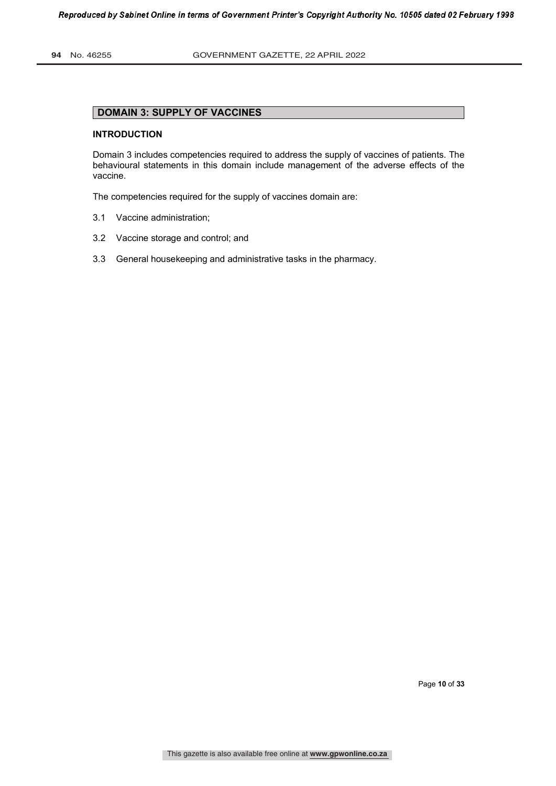# **DOMAIN 3: SUPPLY OF VACCINES**

### **INTRODUCTION**

Domain 3 includes competencies required to address the supply of vaccines of patients. The behavioural statements in this domain include management of the adverse effects of the vaccine.

The competencies required for the supply of vaccines domain are:

- 3.1 Vaccine administration;
- 3.2 Vaccine storage and control; and
- 3.3 General housekeeping and administrative tasks in the pharmacy.

Page **10** of **33**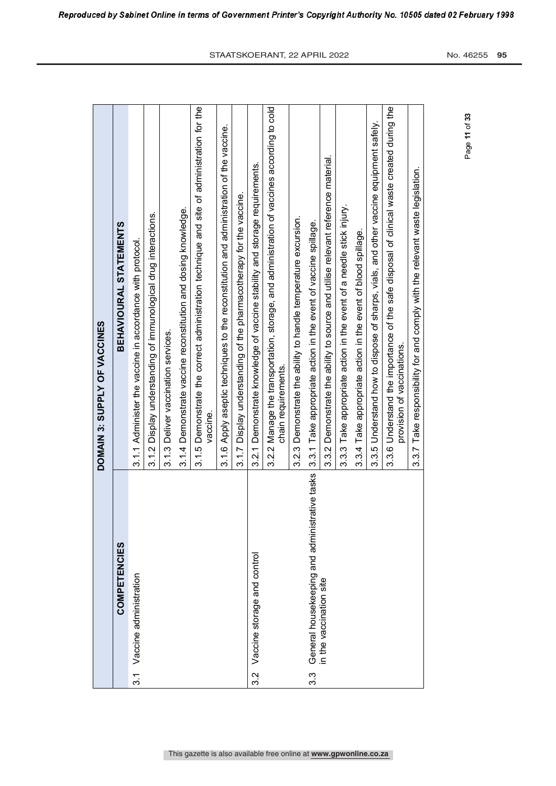|               |                                                   | DOMAIN 3: SUPPLY OF VACCINES                                                                                            |
|---------------|---------------------------------------------------|-------------------------------------------------------------------------------------------------------------------------|
|               | COMPETENCIES                                      | BEHAVIOURAL STATEMENTS                                                                                                  |
| $\frac{1}{3}$ | Vaccine administration                            | 3.1.1 Administer the vaccine in accordance with protocol.                                                               |
|               |                                                   | Display understanding of immunological drug interactions.<br>3.12                                                       |
|               |                                                   | Deliver vaccination services.<br>3.1.3                                                                                  |
|               |                                                   | Demonstrate vaccine reconstitution and dosing knowledge.<br>3.14                                                        |
|               |                                                   | 3.1.5 Demonstrate the correct administration technique and site of administration for the<br>vaccine.                   |
|               |                                                   | 3.1.6 Apply aseptic techniques to the reconstitution and administration of the vaccine.                                 |
|               |                                                   | 3.1.7 Display understanding of the pharmacotherapy for the vaccine.                                                     |
| 3.2           | Vaccine storage and control                       | 3.2.1 Demonstrate knowledge of vaccine stability and storage requirements.                                              |
|               |                                                   | Manage the transportation, storage, and administration of vaccines according to cold<br>chain requirements.<br>3.2.2    |
|               |                                                   | Demonstrate the ability to handle temperature excursion.<br>3.2.3                                                       |
| 3.3           | rative tasks<br>General housekeeping and administ | 3.3.1 Take appropriate action in the event of vaccine spillage.                                                         |
|               | in the vaccination site                           | 3.3.2 Demonstrate the ability to source and utilise relevant reference material.                                        |
|               |                                                   | 3.3.3 Take appropriate action in the event of a needle stick injury.                                                    |
|               |                                                   | 3.3.4 Take appropriate action in the event of blood spillage.                                                           |
|               |                                                   | 3.3.5 Understand how to dispose of sharps, vials, and other vaccine equipment safely.                                   |
|               |                                                   | 3.3.6 Understand the importance of the safe disposal of clinical waste created during the<br>provision of vaccinations. |
|               |                                                   | 3.3.7 Take responsibility for and comply with the relevant waste legislation.                                           |
|               |                                                   |                                                                                                                         |

Reproduced by Sabinet Online in terms of Government Printer's Copyright Authority No. 10505 dated 02 February 1998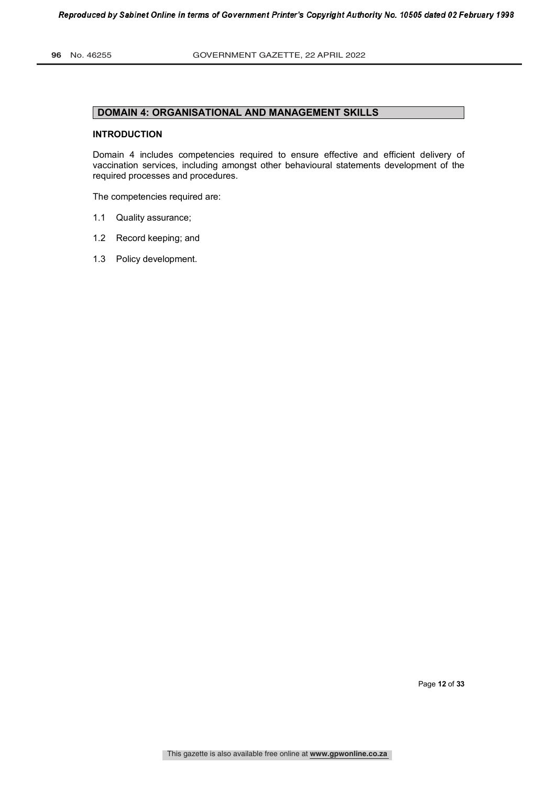# **DOMAIN 4: ORGANISATIONAL AND MANAGEMENT SKILLS**

#### **INTRODUCTION**

Domain 4 includes competencies required to ensure effective and efficient delivery of vaccination services, including amongst other behavioural statements development of the required processes and procedures.

The competencies required are:

- 1.1 Quality assurance;
- 1.2 Record keeping; and
- 1.3 Policy development.

Page **12** of **33**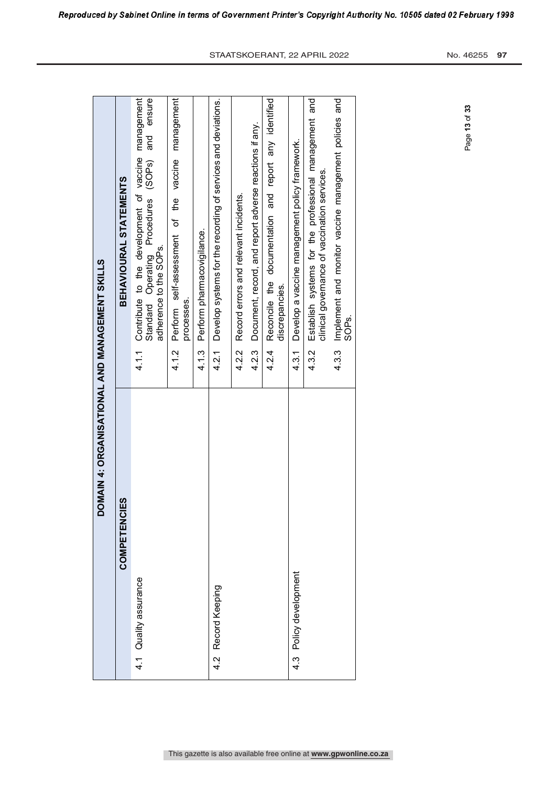| DOMAIN 4: ORGANISATIONAL AND MANGEMENT SKILLS |                                                                                                                                               |
|-----------------------------------------------|-----------------------------------------------------------------------------------------------------------------------------------------------|
| ES.<br>COMPETENC                              | <b>BEHAVIOURAL STATEMENTS</b>                                                                                                                 |
| 4.1 Quality assurance                         | management<br>and ensure<br>Contribute to the development of vaccine<br>Standard Operating Procedures (SOPs)<br>adherence to the SOPs.<br>4.1 |
|                                               | Perform self-assessment of the vaccine management<br>processes.<br>4.1.2                                                                      |
|                                               | Perform pharmacovigilance.<br>4.1.3                                                                                                           |
| Record Keeping<br>4.2                         | Develop systems for the recording of services and deviations.<br>4.2.1                                                                        |
|                                               | Record errors and relevant incidents.<br>4.2.2                                                                                                |
|                                               | Document, record, and report adverse reactions if any.<br>4.2.3                                                                               |
|                                               | Reconcile the documentation and report any identified<br>discrepancies.<br>4.2.4                                                              |
| 4.3 Policy development                        | Develop a vaccine management policy framework.<br>4.3.1                                                                                       |
|                                               | Establish systems for the professional management and<br>clinical governance of vaccination services.<br>4.3.2                                |
|                                               | Implement and monitor vaccine management policies and<br>SOP <sub>S.</sub><br>4.3.3                                                           |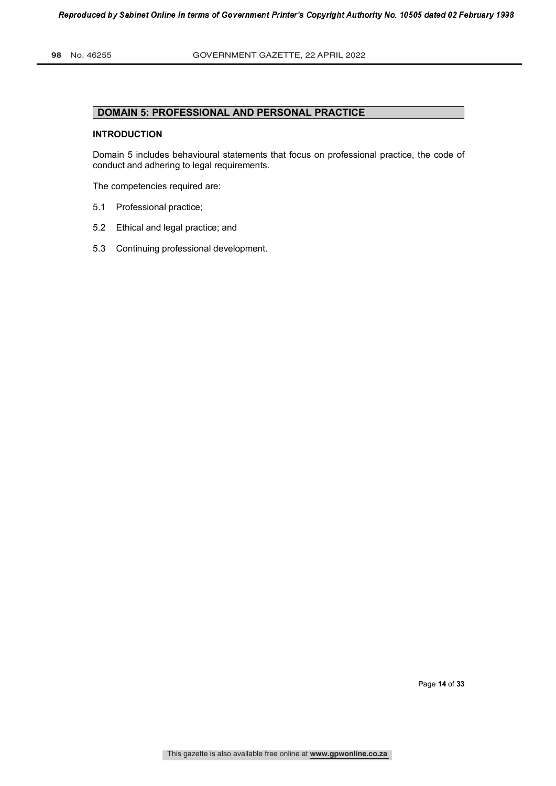# **DOMAIN 5: PROFESSIONAL AND PERSONAL PRACTICE**

#### **INTRODUCTION**

Domain 5 includes behavioural statements that focus on professional practice, the code of conduct and adhering to legal requirements.

The competencies required are:

- 5.1 Professional practice;
- 5.2 Ethical and legal practice; and
- 5.3 Continuing professional development.

Page **14** of **33**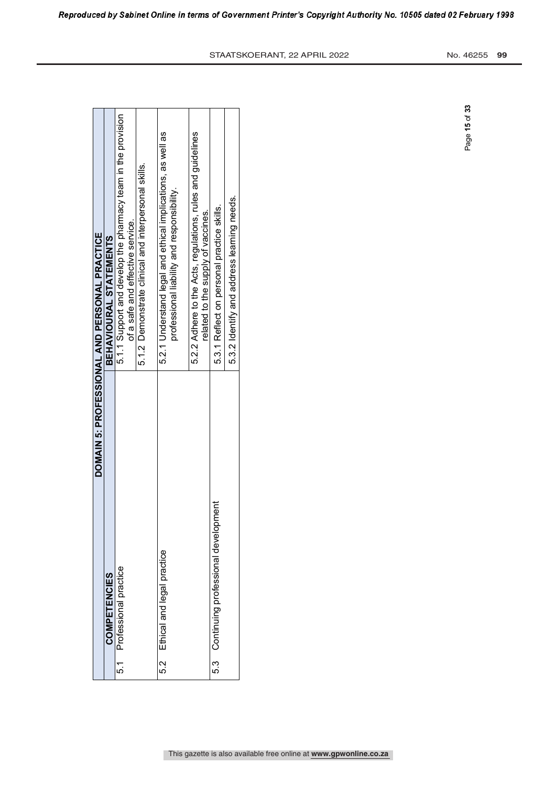|     |                                              | DOMAIN 5: PROFESSIONAL AND PERSONAL PRACTICE                                                              |
|-----|----------------------------------------------|-----------------------------------------------------------------------------------------------------------|
|     | COMPETENCIES                                 | BEHAVIOURAL STATEMENTS                                                                                    |
| 5.1 | Professional practice                        | 5.1.1 Support and develop the pharmacy team in the provision<br>of a safe and effective service.          |
|     |                                              | 5.1.2 Demonstrate clinical and interpersonal skills.                                                      |
| 5.2 | Ethical and legal practice                   | 5.2.1 Understand legal and ethical implications, as well as<br>professional liability and responsibility. |
|     |                                              | 5.2.2 Adhere to the Acts, regulations, rules and guidelines<br>related to the supply of vaccines.         |
|     | ment<br>5.3 Continuing professional developr | 5.3.1 Reflect on personal practice skills.                                                                |
|     |                                              | 5.3.2 Identify and address learning needs.                                                                |

Reproduced by Sabinet Online in terms of Government Printer's Copyright Authority No. 10505 dated 02 February 1998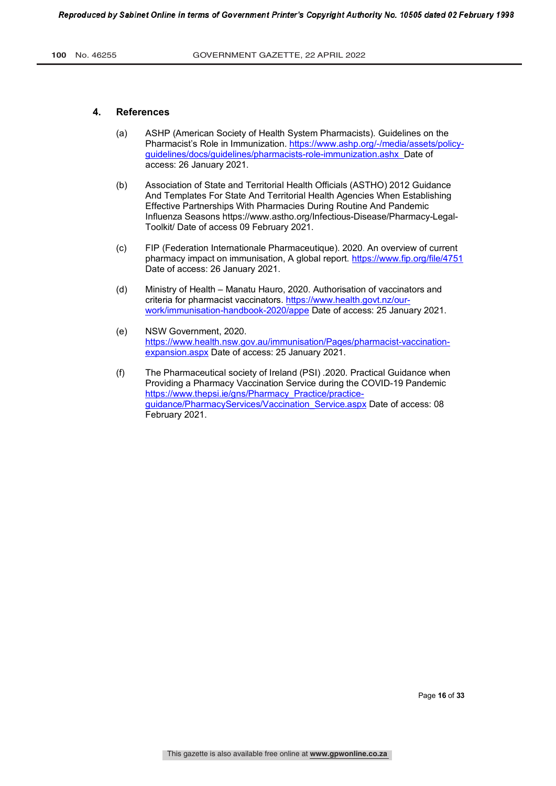### **4. References**

- (a) ASHP (American Society of Health System Pharmacists). Guidelines on the Pharmacist's Role in Immunization. https://www.ashp.org/-/media/assets/policyguidelines/docs/guidelines/pharmacists-role-immunization.ashx Date of access: 26 January 2021.
- (b) Association of State and Territorial Health Officials (ASTHO) 2012 Guidance And Templates For State And Territorial Health Agencies When Establishing Effective Partnerships With Pharmacies During Routine And Pandemic Influenza Seasons https://www.astho.org/Infectious-Disease/Pharmacy-Legal-Toolkit/ Date of access 09 February 2021.
- (c) FIP (Federation Internationale Pharmaceutique). 2020. An overview of current pharmacy impact on immunisation, A global report. https://www.fip.org/file/4751 Date of access: 26 January 2021.
- (d) Ministry of Health Manatu Hauro, 2020. Authorisation of vaccinators and criteria for pharmacist vaccinators. https://www.health.govt.nz/ourwork/immunisation-handbook-2020/appe Date of access: 25 January 2021.
- (e) NSW Government, 2020. https://www.health.nsw.gov.au/immunisation/Pages/pharmacist-vaccinationexpansion.aspx Date of access: 25 January 2021.
- (f) The Pharmaceutical society of Ireland (PSI) .2020. Practical Guidance when Providing a Pharmacy Vaccination Service during the COVID-19 Pandemic https://www.thepsi.ie/gns/Pharmacy\_Practice/practiceguidance/PharmacyServices/Vaccination\_Service.aspx Date of access: 08 February 2021.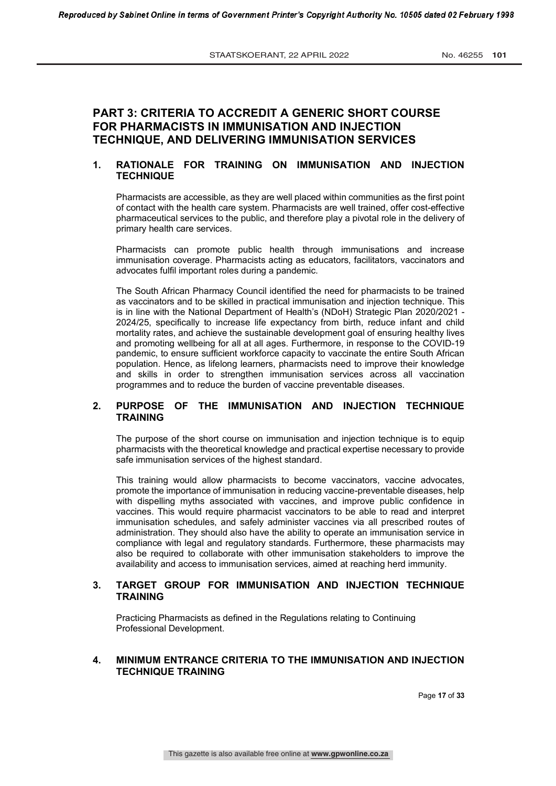# **PART 3: CRITERIA TO ACCREDIT A GENERIC SHORT COURSE FOR PHARMACISTS IN IMMUNISATION AND INJECTION TECHNIQUE, AND DELIVERING IMMUNISATION SERVICES**

# **1. RATIONALE FOR TRAINING ON IMMUNISATION AND INJECTION TECHNIQUE**

Pharmacists are accessible, as they are well placed within communities as the first point of contact with the health care system. Pharmacists are well trained, offer cost-effective pharmaceutical services to the public, and therefore play a pivotal role in the delivery of primary health care services.

Pharmacists can promote public health through immunisations and increase immunisation coverage. Pharmacists acting as educators, facilitators, vaccinators and advocates fulfil important roles during a pandemic.

The South African Pharmacy Council identified the need for pharmacists to be trained as vaccinators and to be skilled in practical immunisation and injection technique. This is in line with the National Department of Health's (NDoH) Strategic Plan 2020/2021 - 2024/25, specifically to increase life expectancy from birth, reduce infant and child mortality rates, and achieve the sustainable development goal of ensuring healthy lives and promoting wellbeing for all at all ages. Furthermore, in response to the COVID-19 pandemic, to ensure sufficient workforce capacity to vaccinate the entire South African population. Hence, as lifelong learners, pharmacists need to improve their knowledge and skills in order to strengthen immunisation services across all vaccination programmes and to reduce the burden of vaccine preventable diseases.

## **2. PURPOSE OF THE IMMUNISATION AND INJECTION TECHNIQUE TRAINING**

The purpose of the short course on immunisation and injection technique is to equip pharmacists with the theoretical knowledge and practical expertise necessary to provide safe immunisation services of the highest standard.

This training would allow pharmacists to become vaccinators, vaccine advocates, promote the importance of immunisation in reducing vaccine-preventable diseases, help with dispelling myths associated with vaccines, and improve public confidence in vaccines. This would require pharmacist vaccinators to be able to read and interpret immunisation schedules, and safely administer vaccines via all prescribed routes of administration. They should also have the ability to operate an immunisation service in compliance with legal and regulatory standards. Furthermore, these pharmacists may also be required to collaborate with other immunisation stakeholders to improve the availability and access to immunisation services, aimed at reaching herd immunity.

### **3. TARGET GROUP FOR IMMUNISATION AND INJECTION TECHNIQUE TRAINING**

Practicing Pharmacists as defined in the Regulations relating to Continuing Professional Development.

### **4. MINIMUM ENTRANCE CRITERIA TO THE IMMUNISATION AND INJECTION TECHNIQUE TRAINING**

Page **17** of **33**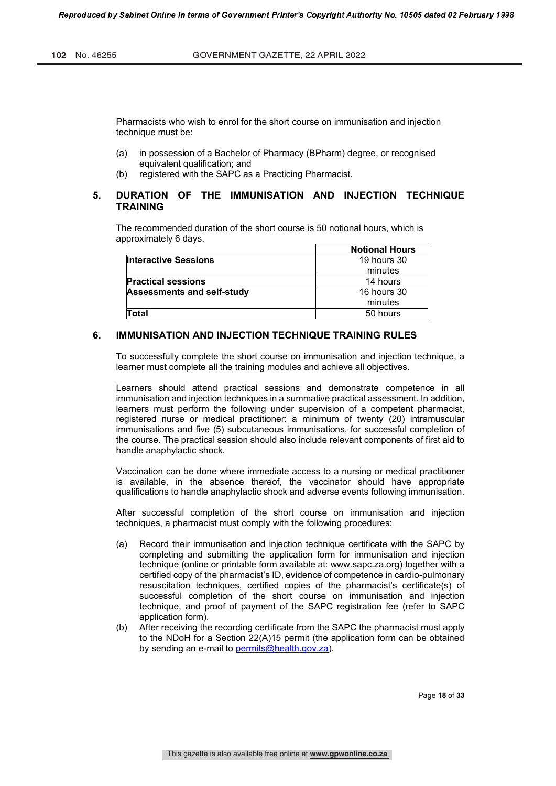Pharmacists who wish to enrol for the short course on immunisation and injection technique must be:

- (a) in possession of a Bachelor of Pharmacy (BPharm) degree, or recognised equivalent qualification; and
- (b) registered with the SAPC as a Practicing Pharmacist.

## **5. DURATION OF THE IMMUNISATION AND INJECTION TECHNIQUE TRAINING**

The recommended duration of the short course is 50 notional hours, which is approximately 6 days.

|                                   | <b>Notional Hours</b> |
|-----------------------------------|-----------------------|
| <b>Interactive Sessions</b>       | 19 hours 30           |
|                                   | minutes               |
| <b>Practical sessions</b>         | 14 hours              |
| <b>Assessments and self-study</b> | <b>16 hours 30</b>    |
|                                   | minutes               |
| Total                             | 50 hours              |

### **6. IMMUNISATION AND INJECTION TECHNIQUE TRAINING RULES**

To successfully complete the short course on immunisation and injection technique, a learner must complete all the training modules and achieve all objectives.

Learners should attend practical sessions and demonstrate competence in all immunisation and injection techniques in a summative practical assessment. In addition, learners must perform the following under supervision of a competent pharmacist, registered nurse or medical practitioner: a minimum of twenty (20) intramuscular immunisations and five (5) subcutaneous immunisations, for successful completion of the course. The practical session should also include relevant components of first aid to handle anaphylactic shock.

Vaccination can be done where immediate access to a nursing or medical practitioner is available, in the absence thereof, the vaccinator should have appropriate qualifications to handle anaphylactic shock and adverse events following immunisation.

After successful completion of the short course on immunisation and injection techniques, a pharmacist must comply with the following procedures:

- (a) Record their immunisation and injection technique certificate with the SAPC by completing and submitting the application form for immunisation and injection technique (online or printable form available at: www.sapc.za.org) together with a certified copy of the pharmacist's ID, evidence of competence in cardio-pulmonary resuscitation techniques, certified copies of the pharmacist's certificate(s) of successful completion of the short course on immunisation and injection technique, and proof of payment of the SAPC registration fee (refer to SAPC application form).
- (b) After receiving the recording certificate from the SAPC the pharmacist must apply to the NDoH for a Section 22(A)15 permit (the application form can be obtained by sending an e-mail to permits@health.gov.za).

Page **18** of **33**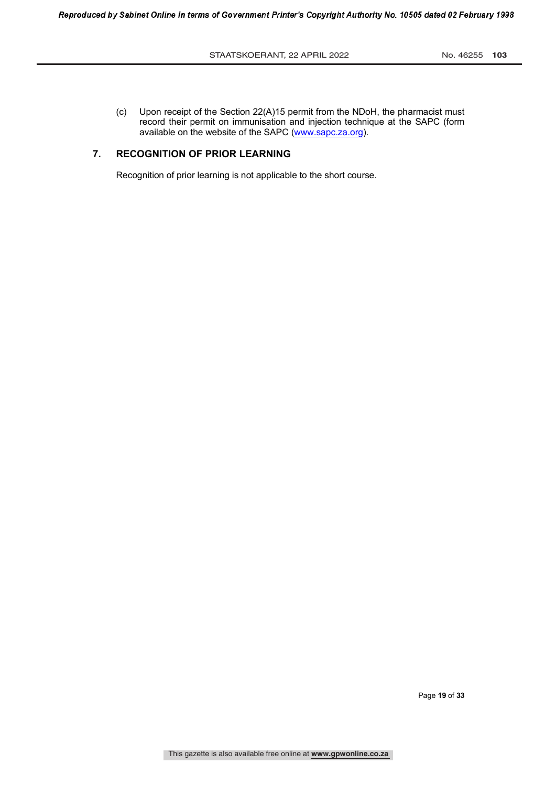(c) Upon receipt of the Section 22(A)15 permit from the NDoH, the pharmacist must record their permit on immunisation and injection technique at the SAPC (form available on the website of the SAPC (www.sapc.za.org).

# **7. RECOGNITION OF PRIOR LEARNING**

Recognition of prior learning is not applicable to the short course.

Page **19** of **33**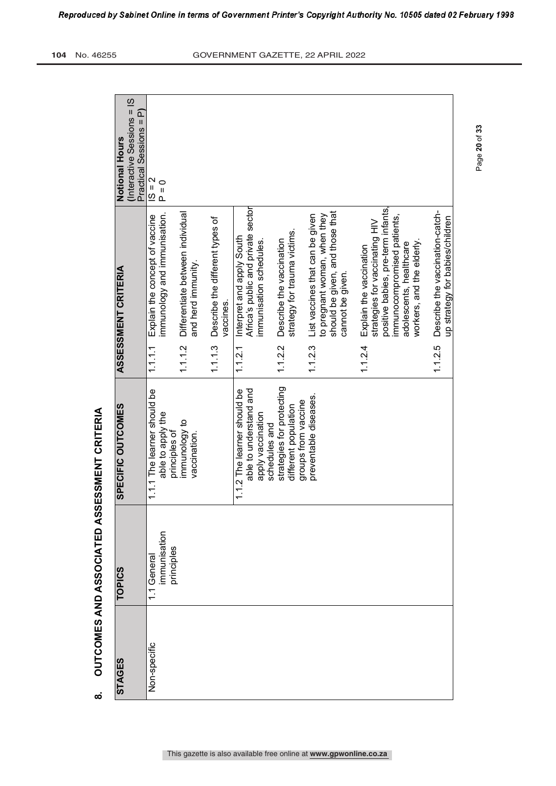| (Interactive Sessions = IS<br>Practical Sessions = P)<br>Notional Hours | $1S = 2$<br>$P = 0$                                            |                                                        |                                              |                                                                                             |                                                                          |                                                                                                                        |                                                                                                                                                                                        |                                                                    |
|-------------------------------------------------------------------------|----------------------------------------------------------------|--------------------------------------------------------|----------------------------------------------|---------------------------------------------------------------------------------------------|--------------------------------------------------------------------------|------------------------------------------------------------------------------------------------------------------------|----------------------------------------------------------------------------------------------------------------------------------------------------------------------------------------|--------------------------------------------------------------------|
| <b>ASSESSMENT CRITERIA</b>                                              | immunology and immunisation.<br>Explain the concept of vaccine | Differentiate between individual<br>and herd immunity. | Describe the different types of<br>vaccines. | Africa's public and private sector<br>Interpret and apply South<br>immunisation schedules.  | strategy for trauma victims.<br>Describe the vaccination                 | should be given, and those that<br>to pregnant woman, when they<br>List vaccines that can be given<br>cannot be given. | positive babies, pre-term infants,<br>immunocompromised patients,<br>strategies for vaccinating HIV<br>workers, and the elderly.<br>adolescents, healthcare<br>Explain the vaccination | Describe the vaccination-catch-<br>up strategy for babies/children |
|                                                                         | 1.1.1                                                          | 1.1.1.2                                                | 1.1.3                                        | 1.1.2.1                                                                                     | 1.1.2.2                                                                  | 1.12.3                                                                                                                 | 1.1.2.4                                                                                                                                                                                | 1.1.2.5                                                            |
| SPECIFIC OUTCOMES                                                       | 1.1.1 The learner should be<br>able to apply the               | immunology to<br>vaccination.<br>principles of         |                                              | 1.1.2 The learner should be<br>able to understand and<br>apply vaccination<br>schedules and | strategies for protecting<br>groups from vaccine<br>different population | preventable diseases.                                                                                                  |                                                                                                                                                                                        |                                                                    |
| <b>TOPICS</b>                                                           | immunisation<br>1.1 General                                    | orinciples                                             |                                              |                                                                                             |                                                                          |                                                                                                                        |                                                                                                                                                                                        |                                                                    |
| <b>STAGES</b>                                                           | Non-specific                                                   |                                                        |                                              |                                                                                             |                                                                          |                                                                                                                        |                                                                                                                                                                                        |                                                                    |

OUTCOMES AND ASSOCIATED ASSESSMENT CRITERIA **8. OUTCOMES AND ASSOCIATED ASSESSMENT CRITERIA**

 $\bf \infty$ 

Page **20** of **33**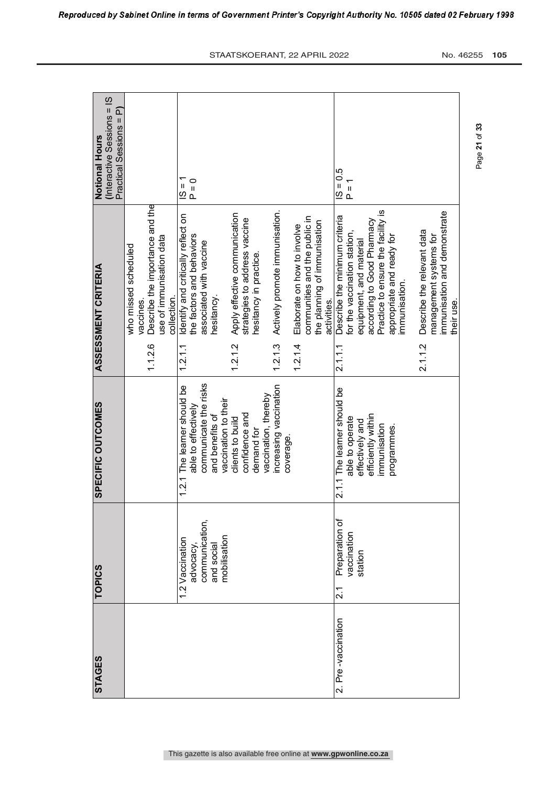| (Interactive Sessions = IS<br>๔<br>Practical Sessions =<br><b>Notional Hours</b> |                                                                                                                 | $\frac{1}{2}$<br>$P = 0$                                                                                                                                                                             |                                                                                                                                               | $50 = 51$<br>$P = 1$                                                                                                                                                                                                                                               |                                           |
|----------------------------------------------------------------------------------|-----------------------------------------------------------------------------------------------------------------|------------------------------------------------------------------------------------------------------------------------------------------------------------------------------------------------------|-----------------------------------------------------------------------------------------------------------------------------------------------|--------------------------------------------------------------------------------------------------------------------------------------------------------------------------------------------------------------------------------------------------------------------|-------------------------------------------|
| <b>ASSESSMENT CRITERIA</b>                                                       | Describe the importance and the<br>use of immunisation data<br>who missed scheduled<br>collection.<br>vaccines. | Apply effective communication<br>Identify and critically reflect on<br>strategies to address vaccine<br>the factors and behaviors<br>associated with vaccine<br>hesitancy in practice.<br>hesitancy. | Actively promote immunisation.<br>communities and the public in<br>the planning of immunisation<br>Elaborate on how to involve<br>activities. | Practice to ensure the facility is<br>Describe the minimum criteria<br>according to Good Pharmacy<br>Describe the relevant data<br>for the vaccination station,<br>management systems for<br>appropriate and ready for<br>equipment, and material<br>immunisation. | immunisation and demonstrate<br>their use |
|                                                                                  | 1.1.26                                                                                                          | 1.2.1.2<br>1.2.1.1                                                                                                                                                                                   | 1.2.1.3<br>1.2.1.4                                                                                                                            | 2.1.1.2<br>2.1.1.1                                                                                                                                                                                                                                                 |                                           |
| SPECIFIC OUTCOMES                                                                |                                                                                                                 | communicate the risks<br>1.2.1 The learner should be<br>vaccination, thereby<br>vaccination to their<br>able to effectively<br>confidence and<br>and benefits of<br>clients to build<br>demand for   | increasing vaccination<br>coverage                                                                                                            | 2.1.1 The learner should be<br>efficiently within<br>able to operate<br>effectively and<br>immunisation<br>programmes.                                                                                                                                             |                                           |
| <b>TOPICS</b>                                                                    |                                                                                                                 | communication,<br>mobilisation<br>1.2 Vaccination<br>and social<br>advocacy,                                                                                                                         |                                                                                                                                               | Preparation of<br>vaccination<br>station<br>$\overline{21}$                                                                                                                                                                                                        |                                           |
| <b>STAGES</b>                                                                    |                                                                                                                 |                                                                                                                                                                                                      |                                                                                                                                               | 2. Pre-vaccination                                                                                                                                                                                                                                                 |                                           |

Page **21** of **33**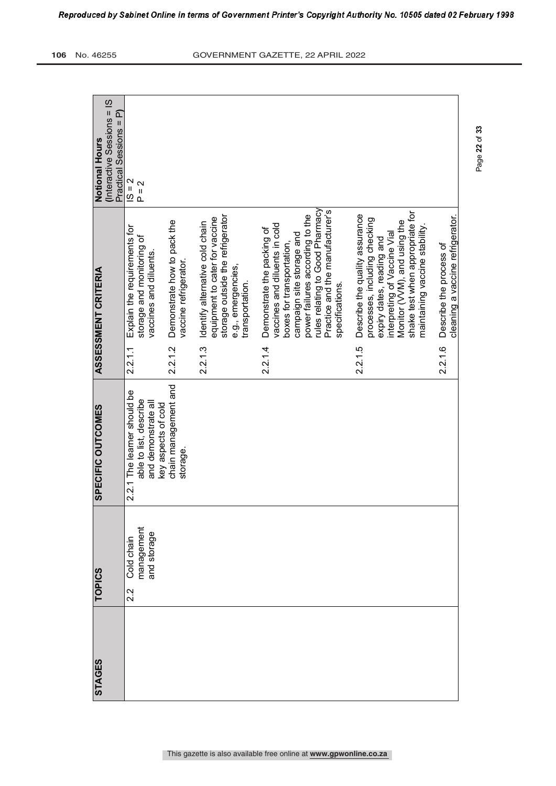| <b>STAGES</b> | <b>TOPICS</b>                                  | SPECIFIC OUTCOMES                                                                                   |         | <b>ASSESSMENT CRITERIA</b>                                                                                                                                                                                                                        | (Interactive Sessions = IS<br>Practical Sessions = P)<br><b>Notional Hours</b> |
|---------------|------------------------------------------------|-----------------------------------------------------------------------------------------------------|---------|---------------------------------------------------------------------------------------------------------------------------------------------------------------------------------------------------------------------------------------------------|--------------------------------------------------------------------------------|
|               | management<br>and storage<br>Cold chain<br>2.2 | 2.2.1 The learner should be<br>able to list, describe<br>and demonstrate all<br>key aspects of cold | 2.2.1.1 | Explain the requirements for<br>storage and monitoring of<br>vaccines and diluents.                                                                                                                                                               | $ S = 2 $<br>$P = 2$                                                           |
|               |                                                | chain management and<br>storage.                                                                    | 2.2.1.2 | Demonstrate how to pack the<br>vaccine refrigerator.                                                                                                                                                                                              |                                                                                |
|               |                                                |                                                                                                     | 2.2.1.3 | storage outside the refrigerator<br>equipment to cater for vaccine<br>Identify alternative cold chain<br>e.g., emergencies,<br>transportation.                                                                                                    |                                                                                |
|               |                                                |                                                                                                     | 2.2.1.4 | rules relating to Good Pharmacy<br>Practice and the manufacturer's<br>power failures according to the<br>vaccines and diluents in cold<br>Demonstrate the packing of<br>campaign site storage and<br>boxes for transportation,<br>specifications. |                                                                                |
|               |                                                |                                                                                                     | 2.2.1.5 | shake test when appropriate for<br>Describe the quality assurance<br>processes, including checking<br>Monitor (VVM), and using the<br>maintaining vaccine stability<br>interpreting of Vaccine Vial<br>expiry dates, reading and                  |                                                                                |
|               |                                                |                                                                                                     | 2.2.1.6 | cleaning a vaccine refrigerator.<br>Describe the process of                                                                                                                                                                                       |                                                                                |

Page **22** of **33**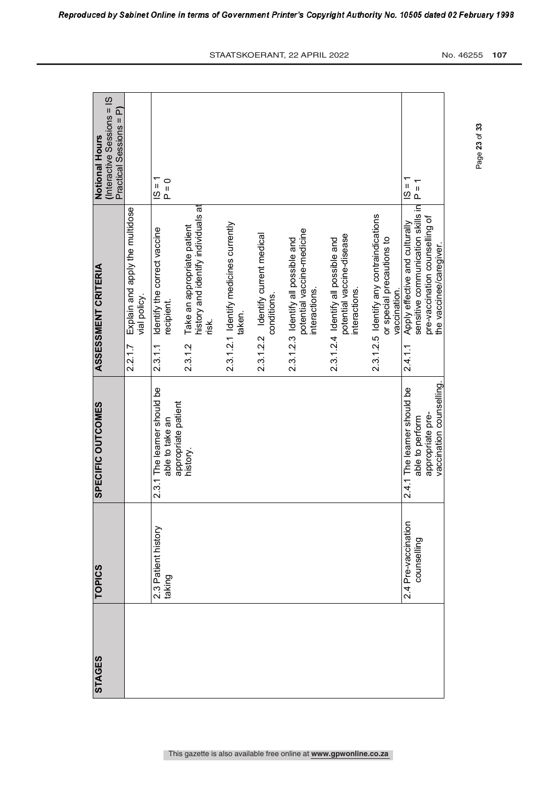| <b>STAGES</b> | <b>TOPICS</b>                      | SPECIFIC OUTCOMES                                                     | <b>ASSESSMENT CRITERIA</b>                                                                                       | <b>Notional Hours</b>                                 |
|---------------|------------------------------------|-----------------------------------------------------------------------|------------------------------------------------------------------------------------------------------------------|-------------------------------------------------------|
|               |                                    |                                                                       |                                                                                                                  | (Interactive Sessions = IS<br>Practical Sessions = P) |
|               |                                    |                                                                       | Explain and apply the multidose<br>vial policy.<br>2.2.1.7                                                       |                                                       |
|               | 2.3 Patient history<br>taking      | 2.3.1 The learner should be<br>appropriate patient<br>able to take an | Identify the correct vaccine<br>recipient.<br>2.3.1.1                                                            | $\frac{1}{2}$<br>$P = 0$                              |
|               |                                    | history.                                                              | history and identify individuals at<br>Take an appropriate patient<br>risk.<br>2.3.1.2                           |                                                       |
|               |                                    |                                                                       | 2.3.1.2.1 Identify medicines currently<br>taken.                                                                 |                                                       |
|               |                                    |                                                                       | 2.3.1.2.2 Identify current medical<br>conditions.                                                                |                                                       |
|               |                                    |                                                                       | potential vaccine-medicine<br>2.3.1.2.3 Identify all possible and<br>interactions.                               |                                                       |
|               |                                    |                                                                       | potential vaccine-disease<br>2.3.1.2.4 Identify all possible and<br>interactions.                                |                                                       |
|               |                                    |                                                                       | 2.3.1.2.5 Identify any contraindications<br>or special precautions to<br>vaccination.                            |                                                       |
|               | 2.4 Pre-vaccination<br>counselling | 2.4.1 The learner should be<br>appropriate pre-<br>able to perform    | sensitive communication skills in<br>pre-vaccination counselling of<br>Apply effective and culturally<br>2.4.1.1 | $P = 1$<br>$\mathbf{I}$<br>$\overline{\omega}$        |
|               |                                    | vaccination counselling                                               | the vaccinee/caregiver                                                                                           |                                                       |
|               |                                    |                                                                       |                                                                                                                  |                                                       |

Reproduced by Sabinet Online in terms of Government Printer's Copyright Authority No. 10505 dated 02 February 1998

Page **23** of **33**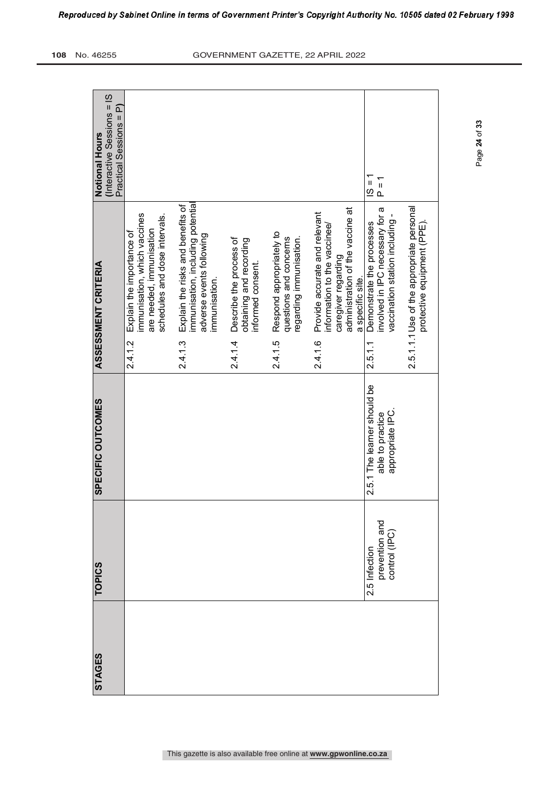| <b>STAGES</b> | <b>TOPICS</b>                                    | SPECIFIC OUTCOMES                                                   | <b>ASSESSMENT CRITERIA</b>                                                                                                                              | <b>Notional Hours</b>                                 |
|---------------|--------------------------------------------------|---------------------------------------------------------------------|---------------------------------------------------------------------------------------------------------------------------------------------------------|-------------------------------------------------------|
|               |                                                  |                                                                     |                                                                                                                                                         | (Interactive Sessions = IS<br>Practical Sessions = P) |
|               |                                                  |                                                                     | immunisation, which vaccines<br>schedules and dose intervals.<br>are needed, immunisation<br>Explain the importance of<br>2.4.1.2                       |                                                       |
|               |                                                  |                                                                     | immunisation, including potential<br>Explain the risks and benefits of<br>adverse events following<br>immunisation.<br>2.4.1.3                          |                                                       |
|               |                                                  |                                                                     | Describe the process of<br>obtaining and recording<br>informed consent.<br>2.4.1.4                                                                      |                                                       |
|               |                                                  |                                                                     | Respond appropriately to<br>questions and concerns<br>regarding immunisation.<br>2.4.1.5                                                                |                                                       |
|               |                                                  |                                                                     | administration of the vaccine at<br>Provide accurate and relevant<br>information to the vaccinee/<br>caregiver regarding<br>a specific site.<br>2.4.1.6 |                                                       |
|               | prevention and<br>control (IPC)<br>2.5 Infection | 2.5.1 The learner should be<br>appropriate IPC.<br>able to practice | involved in IPC necessary for a<br>vaccination station including -<br>Demonstrate the processes<br>2.5.1.1                                              | $ S = 1$<br>$P = 1$                                   |
|               |                                                  |                                                                     | 2.5.1.1.1 Use of the appropriate personal<br>protective equipment (PPE).                                                                                |                                                       |
|               |                                                  |                                                                     |                                                                                                                                                         |                                                       |

Page **24** of **33**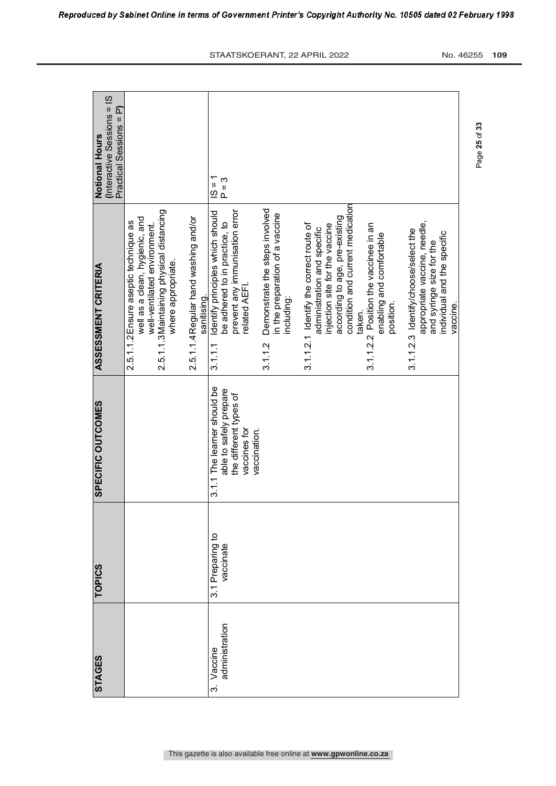| <b>STAGES</b>                       | TOPICS                        | <b>SPECIFIC OUTCOMES</b>                                                                        | <b>ASSESSMENT CRITERIA</b>                                                                                                                                                               | (Interactive Sessions = IS<br>Practical Sessions = P)<br><b>Notional Hours</b> |
|-------------------------------------|-------------------------------|-------------------------------------------------------------------------------------------------|------------------------------------------------------------------------------------------------------------------------------------------------------------------------------------------|--------------------------------------------------------------------------------|
|                                     |                               |                                                                                                 | 2.5.1.1.3 Maintaining physical distancing<br>well as a clean, hygienic, and<br>2.5.1.1.2 Ensure aseptic technique as<br>well-ventilated environment.<br>where appropriate.               |                                                                                |
|                                     |                               |                                                                                                 | 2.5.1.1.4 Regular hand washing and/or<br>sanitising.                                                                                                                                     |                                                                                |
| administration<br>Vaccine<br>.<br>ო | 3.1 Preparing to<br>vaccinate | 3.1.1 The learner should be<br>able to safely prepare<br>the different types of<br>vaccines for | prevent any immunisation error<br>Identify principles which should<br>be adhered to in practice, to<br>related AEFI.<br>3.1.1.1                                                          | $15 = 1$<br>$P = 3$                                                            |
|                                     |                               | vaccination.                                                                                    | Demonstrate the steps involved<br>in the preparation of a vaccine<br>including:<br>3.1.12                                                                                                |                                                                                |
|                                     |                               |                                                                                                 | condition and current medication<br>according to age, pre-existing<br>3.1.1.2.1 Identify the correct route of<br>injection site for the vaccine<br>administration and specific<br>taken. |                                                                                |
|                                     |                               |                                                                                                 | 3.1.1.2.2 Position the vaccinee in an<br>enabling and comfortable<br>position.                                                                                                           |                                                                                |
|                                     |                               |                                                                                                 | appropriate vaccine, needle,<br>3.1.1.2.3 Identify/choose/select the<br>individual and the specific<br>and syringe size for the<br>vaccine.                                              |                                                                                |

Reproduced by Sabinet Online in terms of Government Printer's Copyright Authority No. 10505 dated 02 February 1998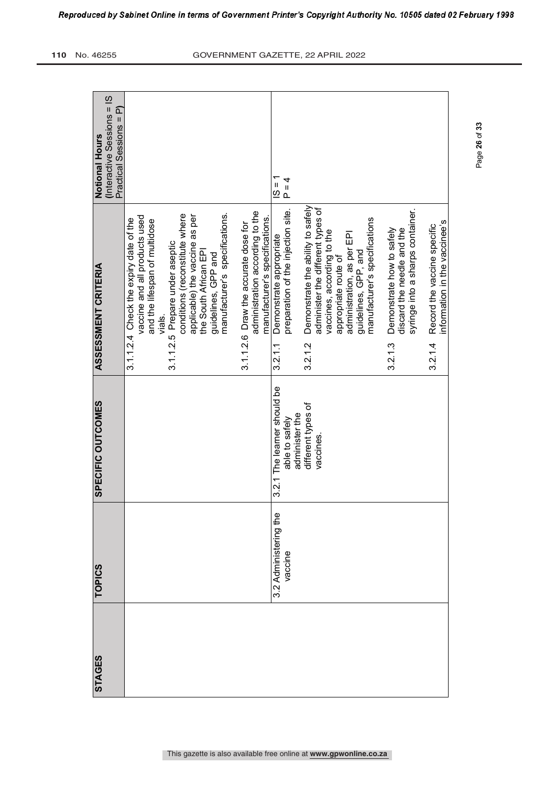| <b>STAGES</b> | <b>TOPICS</b>                    |                                               |                                                                                                          |                                                     |
|---------------|----------------------------------|-----------------------------------------------|----------------------------------------------------------------------------------------------------------|-----------------------------------------------------|
|               |                                  | SPECIFIC OUTCOMES                             | ASSESSMENT CRITERIA                                                                                      | (Interactive Sessions = IS<br><b>Notional Hours</b> |
|               |                                  |                                               |                                                                                                          | Practical Sessions = P)                             |
|               |                                  |                                               | vaccine and all products used<br>3.1.1.2.4 Check the expiry date of the<br>and the lifespan of multidose |                                                     |
|               |                                  |                                               | 3.1.1.2.5 Prepare under aseptic<br>vials.                                                                |                                                     |
|               |                                  |                                               | conditions (reconstitute where<br>applicable) the vaccine as per                                         |                                                     |
|               |                                  |                                               | the South African EPI<br>guidelines, GPP and                                                             |                                                     |
|               |                                  |                                               | manufacturer's specifications.                                                                           |                                                     |
|               |                                  |                                               | administration according to the<br>3.1.1.2.6 Draw the accurate dose for                                  |                                                     |
|               |                                  |                                               | manufacturer's specifications.                                                                           |                                                     |
|               | 3.2 Administering the<br>vaccine | 3.2.1 The learner should be<br>able to safely | preparation of the injection site.<br>Demonstrate appropriate<br>3.2.11                                  | $\frac{1}{2}$<br>$P = 4$                            |
|               |                                  | administer the                                |                                                                                                          |                                                     |
|               |                                  | different types of<br>vaccines.               | Demonstrate the ability to safely<br>administer the different types of<br>3.2.1.2                        |                                                     |
|               |                                  |                                               | vaccines, according to the                                                                               |                                                     |
|               |                                  |                                               | administration, as per EPI<br>appropriate route of                                                       |                                                     |
|               |                                  |                                               | guidelines, GPP, and                                                                                     |                                                     |
|               |                                  |                                               | manufacturer's specifications                                                                            |                                                     |
|               |                                  |                                               | Demonstrate how to safely<br>discard the needle and the<br>3.2.1.3                                       |                                                     |
|               |                                  |                                               | syringe into a sharps container.                                                                         |                                                     |
|               |                                  |                                               | information in the vaccinee's<br>Record the vaccine specific<br>3.2.14                                   |                                                     |
|               |                                  |                                               |                                                                                                          |                                                     |

Page **26** of **33**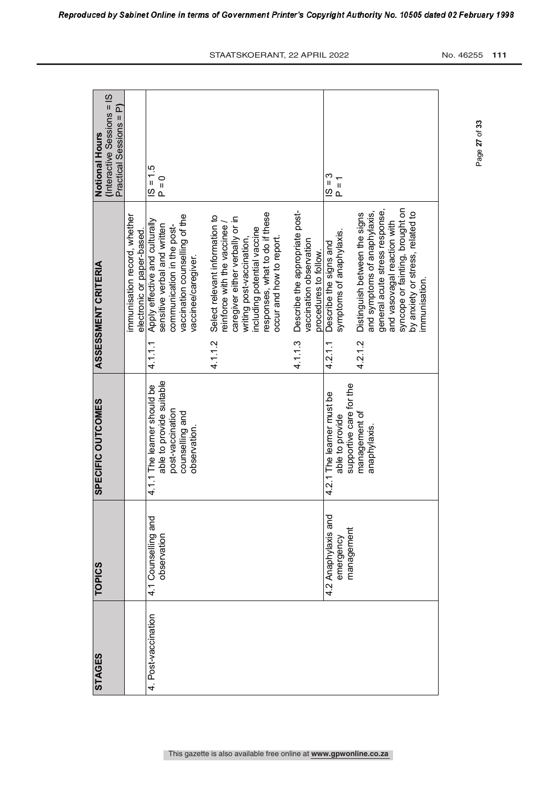| <b>STAGES</b>       | <b>TOPICS</b>                                  | SPECIFIC OUTCOMES                                                                                             | ASSESSMENT CRITERIA                                                                                                                                                                                                                     | Notional Hours                                        |
|---------------------|------------------------------------------------|---------------------------------------------------------------------------------------------------------------|-----------------------------------------------------------------------------------------------------------------------------------------------------------------------------------------------------------------------------------------|-------------------------------------------------------|
|                     |                                                |                                                                                                               |                                                                                                                                                                                                                                         | (Interactive Sessions = IS<br>Practical Sessions = P) |
|                     |                                                |                                                                                                               | mmunisation record, whether<br>electronic or paper-based.                                                                                                                                                                               |                                                       |
| 4. Post-vaccination | 4.1 Counselling and<br>observation             | able to provide suitable<br>4.1.1 The learner should be<br>post-vaccination<br>counselling and<br>observation | vaccination counselling of the<br>Apply effective and culturally<br>sensitive verbal and written<br>communication in the post-<br>vaccinee/caregiver.<br>4.1.1.1                                                                        | $1.5 = 1.5$<br>$P = 0$                                |
|                     |                                                |                                                                                                               | responses, what to do if these<br>Select relevant information to<br>caregiver either verbally or in<br>reinforce with the vaccinee /<br>including potential vaccine<br>writing post-vaccination,<br>occur and how to report.<br>4.1.1.2 |                                                       |
|                     |                                                |                                                                                                               | Describe the appropriate post-<br>vaccination observation<br>procedures to follow.<br>4.1.1.3                                                                                                                                           |                                                       |
|                     | 4.2 Anaphylaxis and<br>management<br>emergency | supportive care for the<br>4.2.1 The learner must be<br>able to provide                                       | symptoms of anaphylaxis.<br>Describe the signs and<br>4.2.1.1                                                                                                                                                                           | ო<br>9<br>2<br>$P = 1$                                |
|                     |                                                | management of<br>anaphylaxis                                                                                  | syncope or fainting, brought on<br>general acute stress response,<br>by anxiety or stress, related to<br>and symptoms of anaphylaxis,<br>Distinguish between the signs<br>and vasovagal reaction with<br>immunisation.<br>4.2.1.2       |                                                       |
|                     |                                                |                                                                                                               |                                                                                                                                                                                                                                         |                                                       |

Reproduced by Sabinet Online in terms of Government Printer's Copyright Authority No. 10505 dated 02 February 1998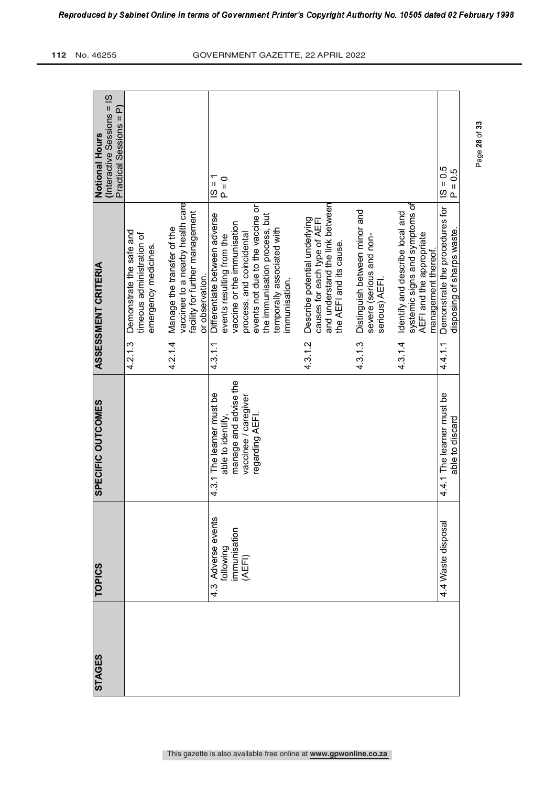| <b>TOPICS</b><br><b>STAGES</b>  | <b>SPECIFIC OUTCOMES</b>                                               |         | <b>ASSESSMENT CRITERIA</b>                                                                                                  | (Interactive Sessions = IS<br>๔<br>Practical Sessions =<br><b>Notional Hours</b> |
|---------------------------------|------------------------------------------------------------------------|---------|-----------------------------------------------------------------------------------------------------------------------------|----------------------------------------------------------------------------------|
|                                 |                                                                        | 4.2.1.3 | Demonstrate the safe and<br>timeous administration of<br>emergency medicines                                                |                                                                                  |
|                                 |                                                                        | 4.2.1.4 | vaccinee to a nearby health care<br>Manage the transfer of the                                                              |                                                                                  |
|                                 |                                                                        |         | facility for further management<br>or observation.                                                                          |                                                                                  |
| 4.3 Adverse events<br>following | manage and advise the<br>4.3.1 The learner must be<br>able to identify | 4.3.1.1 | Differentiate between adverse<br>vaccine or the immunisation<br>events resulting from the                                   | $\frac{1}{2}$<br>$P = 0$                                                         |
| immunisation<br>(AEFI)          | vaccinee / caregiver<br>regarding AEFI.                                |         | events not due to the vaccine or<br>the immunisation process, but<br>process, and coincidental                              |                                                                                  |
|                                 |                                                                        |         | temporally associated with<br>immunisation.                                                                                 |                                                                                  |
|                                 |                                                                        | 4.3.1.2 | and understand the link between<br>Describe potential underlying<br>causes for each type of AEFI<br>the AEFI and its cause. |                                                                                  |
|                                 |                                                                        | 43.13   | Distinguish between minor and<br>severe (serious and non-<br>serious) AEFI.                                                 |                                                                                  |
|                                 |                                                                        | 4.3.14  | systemic signs and symptoms of<br>Identify and describe local and<br>AEFI and the appropriate                               |                                                                                  |
| 4.4 Waste disposal              | 4.4.1 The learner must be<br>able to discard                           | 44.1.1  | Demonstrate the procedures for<br>disposing of sharps waste.                                                                | $1S = 0.5$<br>$P = 0.5$                                                          |
|                                 |                                                                        |         |                                                                                                                             | management thereof.                                                              |

Page **28** of **33**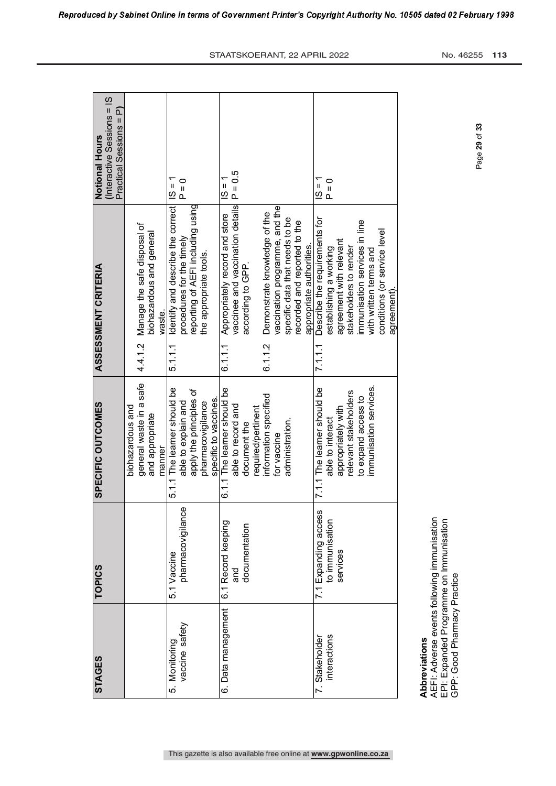| <b>STAGES</b>      | <b>TOPICS</b>        | SPECIFIC OUTCOMES                          |         | <b>ASSESSMENT CRITERIA</b>                                      | Notional Hours                                 |
|--------------------|----------------------|--------------------------------------------|---------|-----------------------------------------------------------------|------------------------------------------------|
|                    |                      |                                            |         |                                                                 | (Interactive Sessions = IS                     |
|                    |                      |                                            |         |                                                                 | Practical Sessions = P)                        |
|                    |                      | biohazardous and                           |         |                                                                 |                                                |
|                    |                      | general waste in a safe<br>and appropriate |         | 4.4.1.2 Manage the safe disposal of<br>biohazardous and general |                                                |
|                    |                      | manner                                     |         | waste.                                                          |                                                |
| 5. Monitoring      | 5.1 Vaccine          | 5.1.1 The learner should be                | 5.1.1.1 | Identify and describe the correct                               | $= 1$                                          |
| vaccine safety     | pharmacovigilance    | able to explain and                        |         | procedures for the timely                                       | $P = 0$                                        |
|                    |                      | apply the principles of                    |         | reporting of AEFI including using                               |                                                |
|                    |                      | pharmacovigilance                          |         | the appropriate tools.                                          |                                                |
|                    |                      | specific to vaccines.                      |         |                                                                 |                                                |
| 6. Data management | 6.1 Record keeping   | 6.1.1 The learner should be                |         | 6.1.1 Appropriately record and store                            | $\overline{\mathbf{u}}$<br>$\overline{\Omega}$ |
|                    | and                  | able to record and                         |         | vaccinee and vaccination details $P = 0.5$                      |                                                |
|                    | documentation        | document the                               |         | according to GPP.                                               |                                                |
|                    |                      | required/pertinent                         |         |                                                                 |                                                |
|                    |                      | information specified                      | 6.1.1.2 | Demonstrate knowledge of the                                    |                                                |
|                    |                      | for vaccine                                |         | vaccination programme, and the                                  |                                                |
|                    |                      | administration.                            |         | specific data that needs to be                                  |                                                |
|                    |                      |                                            |         | recorded and reported to the                                    |                                                |
|                    |                      |                                            |         | appropriate authorities                                         |                                                |
| 7. Stakeholder     | 7.1 Expanding access | 7.1.1 The learner should be                | 7.1.1.1 | Describe the requirements for                                   | $\frac{1}{2}$                                  |
| interactions       | to immunisation      | able to interact                           |         | establishing a working                                          | $\begin{array}{c}\n0 \\ 1\n\end{array}$        |
|                    | services             | appropriately with                         |         | agreement with relevant                                         |                                                |
|                    |                      | relevant stakeholders                      |         | stakeholders to render                                          |                                                |
|                    |                      | to expand access to                        |         | immunisation services in line                                   |                                                |
|                    |                      | immunisation services.                     |         | with written terms and                                          |                                                |
|                    |                      |                                            |         | conditions (or service level                                    |                                                |
|                    |                      |                                            |         | agreement)                                                      |                                                |
|                    |                      |                                            |         |                                                                 |                                                |

This gazette is also available free online at **www.gpwonline.co.za**

**Abbreviations Abbreviations**

AEFI: Adverse events following immunisation<br>EPI: Expanded Programme on Immunisation<br>GPP: Good Pharmacy Practice AEFI: Adverse events following immunisation EPI: Expanded Programme on Immunisation GPP: Good Pharmacy Practice

Г

Page **29** of **33**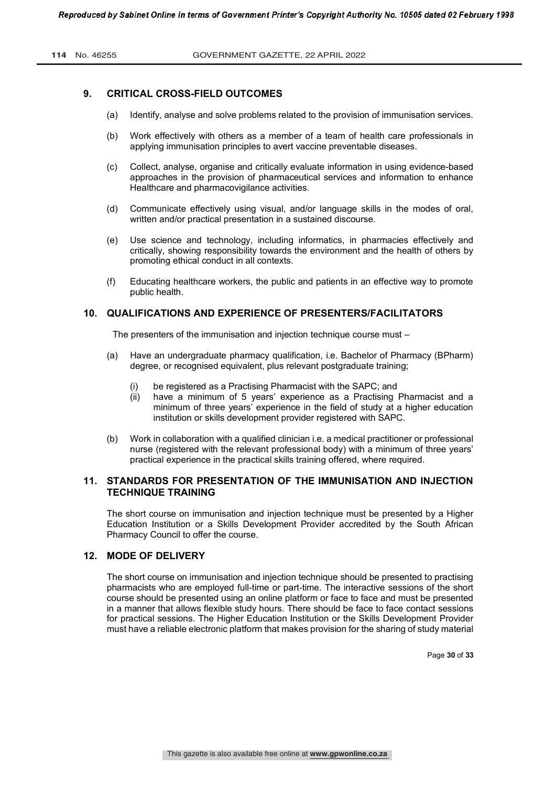## **9. CRITICAL CROSS-FIELD OUTCOMES**

- (a) Identify, analyse and solve problems related to the provision of immunisation services.
- (b) Work effectively with others as a member of a team of health care professionals in applying immunisation principles to avert vaccine preventable diseases.
- (c) Collect, analyse, organise and critically evaluate information in using evidence-based approaches in the provision of pharmaceutical services and information to enhance Healthcare and pharmacovigilance activities.
- (d) Communicate effectively using visual, and/or language skills in the modes of oral, written and/or practical presentation in a sustained discourse.
- (e) Use science and technology, including informatics, in pharmacies effectively and critically, showing responsibility towards the environment and the health of others by promoting ethical conduct in all contexts.
- (f) Educating healthcare workers, the public and patients in an effective way to promote public health.

# **10. QUALIFICATIONS AND EXPERIENCE OF PRESENTERS/FACILITATORS**

The presenters of the immunisation and injection technique course must –

- (a) Have an undergraduate pharmacy qualification, i.e. Bachelor of Pharmacy (BPharm) degree, or recognised equivalent, plus relevant postgraduate training;
	- (i) be registered as a Practising Pharmacist with the SAPC; and
	- (ii) have a minimum of 5 years' experience as a Practising Pharmacist and a minimum of three years' experience in the field of study at a higher education institution or skills development provider registered with SAPC.
- (b) Work in collaboration with a qualified clinician i.e. a medical practitioner or professional nurse (registered with the relevant professional body) with a minimum of three years' practical experience in the practical skills training offered, where required.

# **11. STANDARDS FOR PRESENTATION OF THE IMMUNISATION AND INJECTION TECHNIQUE TRAINING**

The short course on immunisation and injection technique must be presented by a Higher Education Institution or a Skills Development Provider accredited by the South African Pharmacy Council to offer the course.

# **12. MODE OF DELIVERY**

The short course on immunisation and injection technique should be presented to practising pharmacists who are employed full-time or part-time. The interactive sessions of the short course should be presented using an online platform or face to face and must be presented in a manner that allows flexible study hours. There should be face to face contact sessions for practical sessions. The Higher Education Institution or the Skills Development Provider must have a reliable electronic platform that makes provision for the sharing of study material

Page **30** of **33**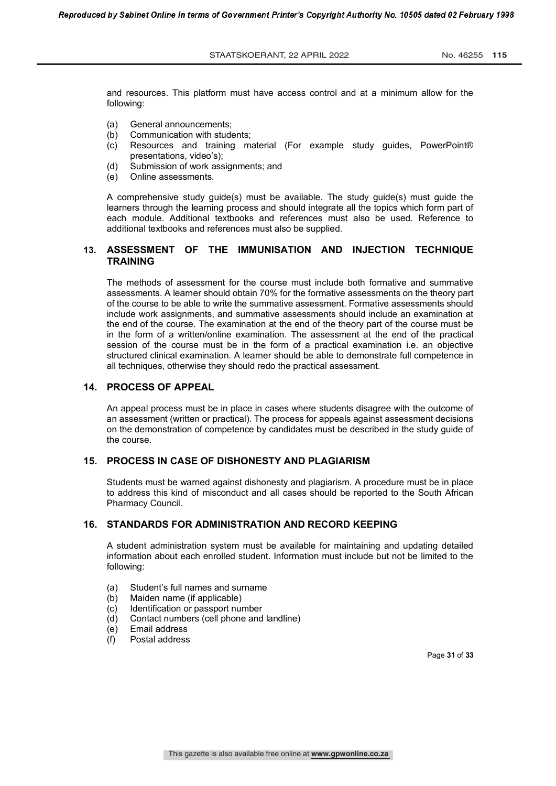and resources. This platform must have access control and at a minimum allow for the following:

- (a) General announcements;
- (b) Communication with students;
- (c) Resources and training material (For example study guides, PowerPoint® presentations, video's);
- (d) Submission of work assignments; and
- (e) Online assessments.

A comprehensive study guide(s) must be available. The study guide(s) must guide the learners through the learning process and should integrate all the topics which form part of each module. Additional textbooks and references must also be used. Reference to additional textbooks and references must also be supplied.

# **13. ASSESSMENT OF THE IMMUNISATION AND INJECTION TECHNIQUE TRAINING**

The methods of assessment for the course must include both formative and summative assessments. A learner should obtain 70% for the formative assessments on the theory part of the course to be able to write the summative assessment. Formative assessments should include work assignments, and summative assessments should include an examination at the end of the course. The examination at the end of the theory part of the course must be in the form of a written/online examination. The assessment at the end of the practical session of the course must be in the form of a practical examination i.e. an objective structured clinical examination. A learner should be able to demonstrate full competence in all techniques, otherwise they should redo the practical assessment.

### **14. PROCESS OF APPEAL**

An appeal process must be in place in cases where students disagree with the outcome of an assessment (written or practical). The process for appeals against assessment decisions on the demonstration of competence by candidates must be described in the study guide of the course.

### **15. PROCESS IN CASE OF DISHONESTY AND PLAGIARISM**

Students must be warned against dishonesty and plagiarism. A procedure must be in place to address this kind of misconduct and all cases should be reported to the South African Pharmacy Council.

## **16. STANDARDS FOR ADMINISTRATION AND RECORD KEEPING**

A student administration system must be available for maintaining and updating detailed information about each enrolled student. Information must include but not be limited to the following:

- (a) Student's full names and surname
- (b) Maiden name (if applicable)
- (c) Identification or passport number
- (d) Contact numbers (cell phone and landline)
- (e) Email address
- (f) Postal address

Page **31** of **33**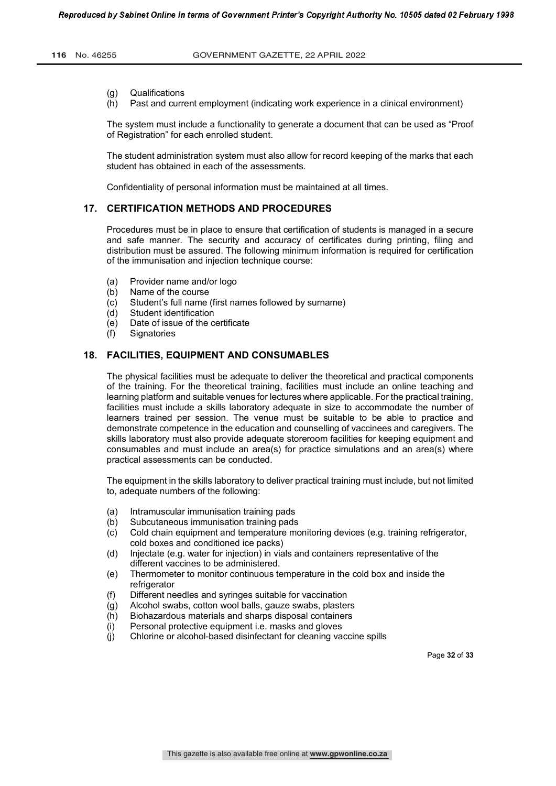- (g) Qualifications
- (h) Past and current employment (indicating work experience in a clinical environment)

The system must include a functionality to generate a document that can be used as "Proof of Registration" for each enrolled student.

The student administration system must also allow for record keeping of the marks that each student has obtained in each of the assessments.

Confidentiality of personal information must be maintained at all times.

### **17. CERTIFICATION METHODS AND PROCEDURES**

Procedures must be in place to ensure that certification of students is managed in a secure and safe manner. The security and accuracy of certificates during printing, filing and distribution must be assured. The following minimum information is required for certification of the immunisation and injection technique course:

- (a) Provider name and/or logo
- (b) Name of the course
- (c) Student's full name (first names followed by surname)
- (d) Student identification
- (e) Date of issue of the certificate
- (f) Signatories

### **18. FACILITIES, EQUIPMENT AND CONSUMABLES**

The physical facilities must be adequate to deliver the theoretical and practical components of the training. For the theoretical training, facilities must include an online teaching and learning platform and suitable venues for lectures where applicable. For the practical training, facilities must include a skills laboratory adequate in size to accommodate the number of learners trained per session. The venue must be suitable to be able to practice and demonstrate competence in the education and counselling of vaccinees and caregivers. The skills laboratory must also provide adequate storeroom facilities for keeping equipment and consumables and must include an area(s) for practice simulations and an area(s) where practical assessments can be conducted.

The equipment in the skills laboratory to deliver practical training must include, but not limited to, adequate numbers of the following:

- (a) Intramuscular immunisation training pads
- (b) Subcutaneous immunisation training pads
- (c) Cold chain equipment and temperature monitoring devices (e.g. training refrigerator, cold boxes and conditioned ice packs)
- (d) Injectate (e.g. water for injection) in vials and containers representative of the different vaccines to be administered.
- (e) Thermometer to monitor continuous temperature in the cold box and inside the refrigerator
- (f) Different needles and syringes suitable for vaccination
- (g) Alcohol swabs, cotton wool balls, gauze swabs, plasters
- (h) Biohazardous materials and sharps disposal containers
- (i) Personal protective equipment i.e. masks and gloves
- (j) Chlorine or alcohol-based disinfectant for cleaning vaccine spills

Page **32** of **33**